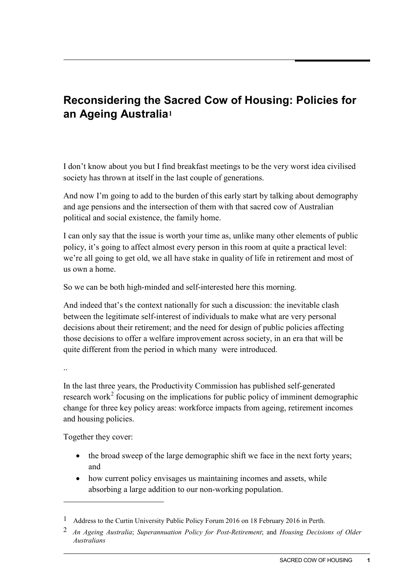## **Reconsidering the Sacred Cow of Housing: Policies for an Ageing Australia[1](#page-0-0)**

I don't know about you but I find breakfast meetings to be the very worst idea civilised society has thrown at itself in the last couple of generations.

And now I'm going to add to the burden of this early start by talking about demography and age pensions and the intersection of them with that sacred cow of Australian political and social existence, the family home.

I can only say that the issue is worth your time as, unlike many other elements of public policy, it's going to affect almost every person in this room at quite a practical level: we're all going to get old, we all have stake in quality of life in retirement and most of us own a home.

So we can be both high-minded and self-interested here this morning.

And indeed that's the context nationally for such a discussion: the inevitable clash between the legitimate self-interest of individuals to make what are very personal decisions about their retirement; and the need for design of public policies affecting those decisions to offer a welfare improvement across society, in an era that will be quite different from the period in which many were introduced.

..

-

In the last three years, the Productivity Commission has published self-generated research work<sup>[2](#page-0-1)</sup> focusing on the implications for public policy of imminent demographic change for three key policy areas: workforce impacts from ageing, retirement incomes and housing policies.

Together they cover:

- the broad sweep of the large demographic shift we face in the next forty years; and
- how current policy envisages us maintaining incomes and assets, while absorbing a large addition to our non-working population.

<span id="page-0-0"></span><sup>1</sup> Address to the Curtin University Public Policy Forum 2016 on 18 February 2016 in Perth.

<span id="page-0-2"></span><span id="page-0-1"></span><sup>2</sup> *An Ageing Australia*; *Superannuation Policy for Post-Retirement*; and *Housing Decisions of Older Australians*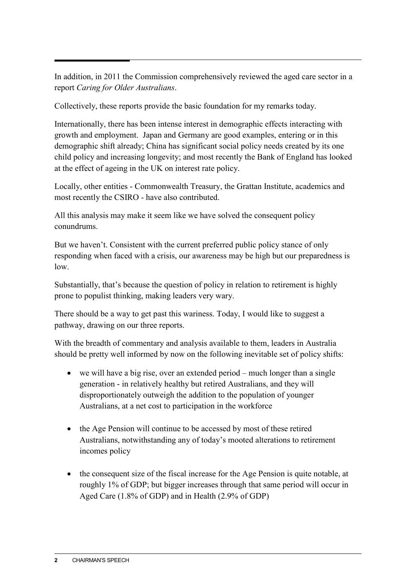In addition, in 2011 the Commission comprehensively reviewed the aged care sector in a report *Caring for Older Australians*.

Collectively, these reports provide the basic foundation for my remarks today.

Internationally, there has been intense interest in demographic effects interacting with growth and employment. Japan and Germany are good examples, entering or in this demographic shift already; China has significant social policy needs created by its one child policy and increasing longevity; and most recently the Bank of England has looked at the effect of ageing in the UK on interest rate policy.

Locally, other entities - Commonwealth Treasury, the Grattan Institute, academics and most recently the CSIRO - have also contributed.

All this analysis may make it seem like we have solved the consequent policy conundrums.

But we haven't. Consistent with the current preferred public policy stance of only responding when faced with a crisis, our awareness may be high but our preparedness is low.

Substantially, that's because the question of policy in relation to retirement is highly prone to populist thinking, making leaders very wary.

There should be a way to get past this wariness. Today, I would like to suggest a pathway, drawing on our three reports.

With the breadth of commentary and analysis available to them, leaders in Australia should be pretty well informed by now on the following inevitable set of policy shifts:

- we will have a big rise, over an extended period much longer than a single generation - in relatively healthy but retired Australians, and they will disproportionately outweigh the addition to the population of younger Australians, at a net cost to participation in the workforce
- the Age Pension will continue to be accessed by most of these retired Australians, notwithstanding any of today's mooted alterations to retirement incomes policy
- the consequent size of the fiscal increase for the Age Pension is quite notable, at roughly 1% of GDP; but bigger increases through that same period will occur in Aged Care (1.8% of GDP) and in Health (2.9% of GDP)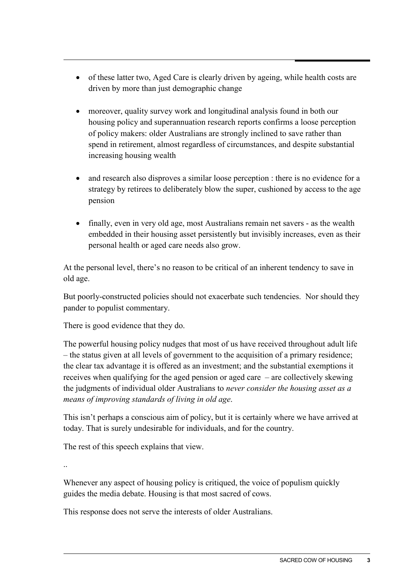- of these latter two, Aged Care is clearly driven by ageing, while health costs are driven by more than just demographic change
- moreover, quality survey work and longitudinal analysis found in both our housing policy and superannuation research reports confirms a loose perception of policy makers: older Australians are strongly inclined to save rather than spend in retirement, almost regardless of circumstances, and despite substantial increasing housing wealth
- and research also disproves a similar loose perception : there is no evidence for a strategy by retirees to deliberately blow the super, cushioned by access to the age pension
- finally, even in very old age, most Australians remain net savers as the wealth embedded in their housing asset persistently but invisibly increases, even as their personal health or aged care needs also grow.

At the personal level, there's no reason to be critical of an inherent tendency to save in old age.

But poorly-constructed policies should not exacerbate such tendencies. Nor should they pander to populist commentary.

There is good evidence that they do.

The powerful housing policy nudges that most of us have received throughout adult life – the status given at all levels of government to the acquisition of a primary residence; the clear tax advantage it is offered as an investment; and the substantial exemptions it receives when qualifying for the aged pension or aged care – are collectively skewing the judgments of individual older Australians to *never consider the housing asset as a means of improving standards of living in old age*.

This isn't perhaps a conscious aim of policy, but it is certainly where we have arrived at today. That is surely undesirable for individuals, and for the country.

The rest of this speech explains that view.

..

Whenever any aspect of housing policy is critiqued, the voice of populism quickly guides the media debate. Housing is that most sacred of cows.

This response does not serve the interests of older Australians.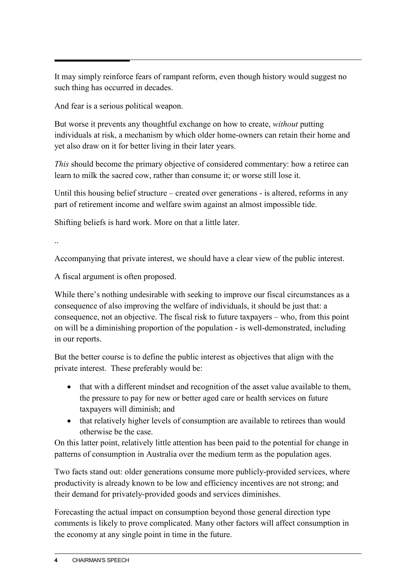It may simply reinforce fears of rampant reform, even though history would suggest no such thing has occurred in decades.

And fear is a serious political weapon.

But worse it prevents any thoughtful exchange on how to create, *without* putting individuals at risk, a mechanism by which older home-owners can retain their home and yet also draw on it for better living in their later years.

*This* should become the primary objective of considered commentary: how a retiree can learn to milk the sacred cow, rather than consume it; or worse still lose it.

Until this housing belief structure – created over generations - is altered, reforms in any part of retirement income and welfare swim against an almost impossible tide.

Shifting beliefs is hard work. More on that a little later.

..

Accompanying that private interest, we should have a clear view of the public interest.

A fiscal argument is often proposed.

While there's nothing undesirable with seeking to improve our fiscal circumstances as a consequence of also improving the welfare of individuals, it should be just that: a consequence, not an objective. The fiscal risk to future taxpayers – who, from this point on will be a diminishing proportion of the population - is well-demonstrated, including in our reports.

But the better course is to define the public interest as objectives that align with the private interest. These preferably would be:

- that with a different mindset and recognition of the asset value available to them, the pressure to pay for new or better aged care or health services on future taxpayers will diminish; and
- that relatively higher levels of consumption are available to retirees than would otherwise be the case.

On this latter point, relatively little attention has been paid to the potential for change in patterns of consumption in Australia over the medium term as the population ages.

Two facts stand out: older generations consume more publicly-provided services, where productivity is already known to be low and efficiency incentives are not strong; and their demand for privately-provided goods and services diminishes.

Forecasting the actual impact on consumption beyond those general direction type comments is likely to prove complicated. Many other factors will affect consumption in the economy at any single point in time in the future.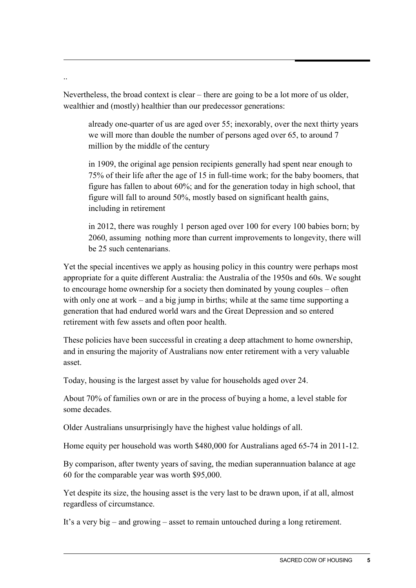Nevertheless, the broad context is clear – there are going to be a lot more of us older, wealthier and (mostly) healthier than our predecessor generations:

..

already one-quarter of us are aged over 55; inexorably, over the next thirty years we will more than double the number of persons aged over 65, to around 7 million by the middle of the century

in 1909, the original age pension recipients generally had spent near enough to 75% of their life after the age of 15 in full-time work; for the baby boomers, that figure has fallen to about 60%; and for the generation today in high school, that figure will fall to around 50%, mostly based on significant health gains, including in retirement

in 2012, there was roughly 1 person aged over 100 for every 100 babies born; by 2060, assuming nothing more than current improvements to longevity, there will be 25 such centenarians.

Yet the special incentives we apply as housing policy in this country were perhaps most appropriate for a quite different Australia: the Australia of the 1950s and 60s. We sought to encourage home ownership for a society then dominated by young couples – often with only one at work – and a big jump in births; while at the same time supporting a generation that had endured world wars and the Great Depression and so entered retirement with few assets and often poor health.

These policies have been successful in creating a deep attachment to home ownership, and in ensuring the majority of Australians now enter retirement with a very valuable asset.

Today, housing is the largest asset by value for households aged over 24.

About 70% of families own or are in the process of buying a home, a level stable for some decades.

Older Australians unsurprisingly have the highest value holdings of all.

Home equity per household was worth \$480,000 for Australians aged 65-74 in 2011-12.

By comparison, after twenty years of saving, the median superannuation balance at age 60 for the comparable year was worth \$95,000.

Yet despite its size, the housing asset is the very last to be drawn upon, if at all, almost regardless of circumstance.

It's a very big – and growing – asset to remain untouched during a long retirement.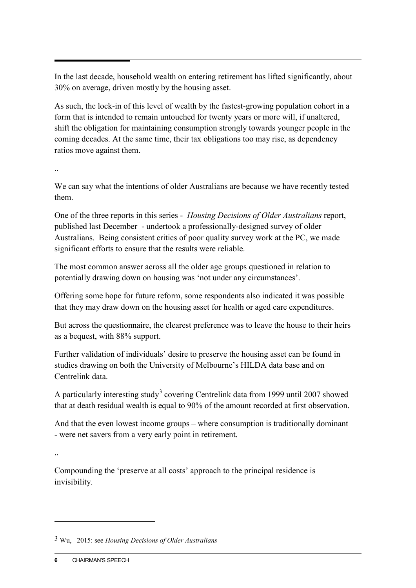In the last decade, household wealth on entering retirement has lifted significantly, about 30% on average, driven mostly by the housing asset.

As such, the lock-in of this level of wealth by the fastest-growing population cohort in a form that is intended to remain untouched for twenty years or more will, if unaltered, shift the obligation for maintaining consumption strongly towards younger people in the coming decades. At the same time, their tax obligations too may rise, as dependency ratios move against them.

..

We can say what the intentions of older Australians are because we have recently tested them.

One of the three reports in this series - *Housing Decisions of Older Australians* report, published last December - undertook a professionally-designed survey of older Australians. Being consistent critics of poor quality survey work at the PC, we made significant efforts to ensure that the results were reliable.

The most common answer across all the older age groups questioned in relation to potentially drawing down on housing was 'not under any circumstances'.

Offering some hope for future reform, some respondents also indicated it was possible that they may draw down on the housing asset for health or aged care expenditures.

But across the questionnaire, the clearest preference was to leave the house to their heirs as a bequest, with 88% support.

Further validation of individuals' desire to preserve the housing asset can be found in studies drawing on both the University of Melbourne's HILDA data base and on Centrelink data.

A particularly interesting study<sup>[3](#page-0-2)</sup> covering Centrelink data from 1999 until 2007 showed that at death residual wealth is equal to 90% of the amount recorded at first observation.

And that the even lowest income groups – where consumption is traditionally dominant - were net savers from a very early point in retirement.

..

-

Compounding the 'preserve at all costs' approach to the principal residence is invisibility.

<sup>3</sup> Wu, 2015: see *Housing Decisions of Older Australians*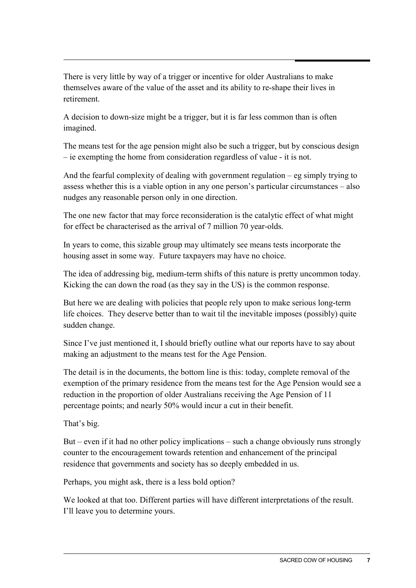There is very little by way of a trigger or incentive for older Australians to make themselves aware of the value of the asset and its ability to re-shape their lives in retirement.

A decision to down-size might be a trigger, but it is far less common than is often imagined.

The means test for the age pension might also be such a trigger, but by conscious design – ie exempting the home from consideration regardless of value - it is not.

And the fearful complexity of dealing with government regulation – eg simply trying to assess whether this is a viable option in any one person's particular circumstances – also nudges any reasonable person only in one direction.

The one new factor that may force reconsideration is the catalytic effect of what might for effect be characterised as the arrival of 7 million 70 year-olds.

In years to come, this sizable group may ultimately see means tests incorporate the housing asset in some way. Future taxpayers may have no choice.

The idea of addressing big, medium-term shifts of this nature is pretty uncommon today. Kicking the can down the road (as they say in the US) is the common response.

But here we are dealing with policies that people rely upon to make serious long-term life choices. They deserve better than to wait til the inevitable imposes (possibly) quite sudden change.

Since I've just mentioned it, I should briefly outline what our reports have to say about making an adjustment to the means test for the Age Pension.

The detail is in the documents, the bottom line is this: today, complete removal of the exemption of the primary residence from the means test for the Age Pension would see a reduction in the proportion of older Australians receiving the Age Pension of 11 percentage points; and nearly 50% would incur a cut in their benefit.

That's big.

But – even if it had no other policy implications – such a change obviously runs strongly counter to the encouragement towards retention and enhancement of the principal residence that governments and society has so deeply embedded in us.

Perhaps, you might ask, there is a less bold option?

We looked at that too. Different parties will have different interpretations of the result. I'll leave you to determine yours.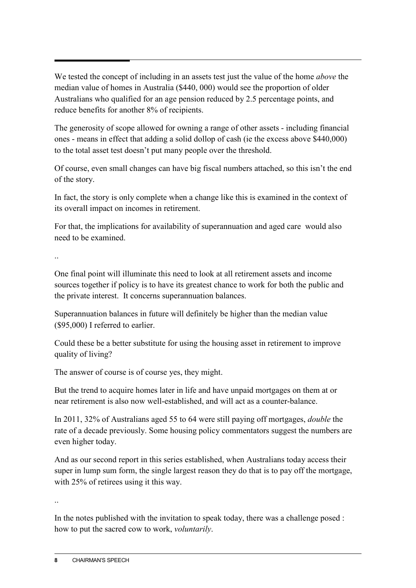We tested the concept of including in an assets test just the value of the home *above* the median value of homes in Australia (\$440, 000) would see the proportion of older Australians who qualified for an age pension reduced by 2.5 percentage points, and reduce benefits for another 8% of recipients.

The generosity of scope allowed for owning a range of other assets - including financial ones - means in effect that adding a solid dollop of cash (ie the excess above \$440,000) to the total asset test doesn't put many people over the threshold.

Of course, even small changes can have big fiscal numbers attached, so this isn't the end of the story.

In fact, the story is only complete when a change like this is examined in the context of its overall impact on incomes in retirement.

For that, the implications for availability of superannuation and aged care would also need to be examined.

..

One final point will illuminate this need to look at all retirement assets and income sources together if policy is to have its greatest chance to work for both the public and the private interest. It concerns superannuation balances.

Superannuation balances in future will definitely be higher than the median value (\$95,000) I referred to earlier.

Could these be a better substitute for using the housing asset in retirement to improve quality of living?

The answer of course is of course yes, they might.

But the trend to acquire homes later in life and have unpaid mortgages on them at or near retirement is also now well-established, and will act as a counter-balance.

In 2011, 32% of Australians aged 55 to 64 were still paying off mortgages, *double* the rate of a decade previously. Some housing policy commentators suggest the numbers are even higher today.

And as our second report in this series established, when Australians today access their super in lump sum form, the single largest reason they do that is to pay off the mortgage, with 25% of retirees using it this way.

..

In the notes published with the invitation to speak today, there was a challenge posed : how to put the sacred cow to work, *voluntarily*.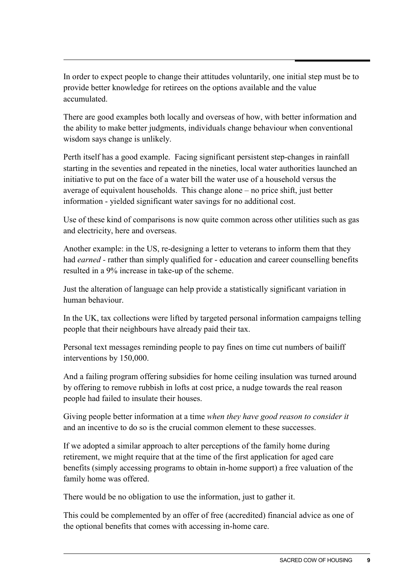In order to expect people to change their attitudes voluntarily, one initial step must be to provide better knowledge for retirees on the options available and the value accumulated.

There are good examples both locally and overseas of how, with better information and the ability to make better judgments, individuals change behaviour when conventional wisdom says change is unlikely.

Perth itself has a good example. Facing significant persistent step-changes in rainfall starting in the seventies and repeated in the nineties, local water authorities launched an initiative to put on the face of a water bill the water use of a household versus the average of equivalent households. This change alone – no price shift, just better information - yielded significant water savings for no additional cost.

Use of these kind of comparisons is now quite common across other utilities such as gas and electricity, here and overseas.

Another example: in the US, re-designing a letter to veterans to inform them that they had *earned -* rather than simply qualified for - education and career counselling benefits resulted in a 9% increase in take-up of the scheme.

Just the alteration of language can help provide a statistically significant variation in human behaviour.

In the UK, tax collections were lifted by targeted personal information campaigns telling people that their neighbours have already paid their tax.

Personal text messages reminding people to pay fines on time cut numbers of bailiff interventions by 150,000.

And a failing program offering subsidies for home ceiling insulation was turned around by offering to remove rubbish in lofts at cost price, a nudge towards the real reason people had failed to insulate their houses.

Giving people better information at a time *when they have good reason to consider it* and an incentive to do so is the crucial common element to these successes.

If we adopted a similar approach to alter perceptions of the family home during retirement, we might require that at the time of the first application for aged care benefits (simply accessing programs to obtain in-home support) a free valuation of the family home was offered.

There would be no obligation to use the information, just to gather it.

This could be complemented by an offer of free (accredited) financial advice as one of the optional benefits that comes with accessing in-home care.